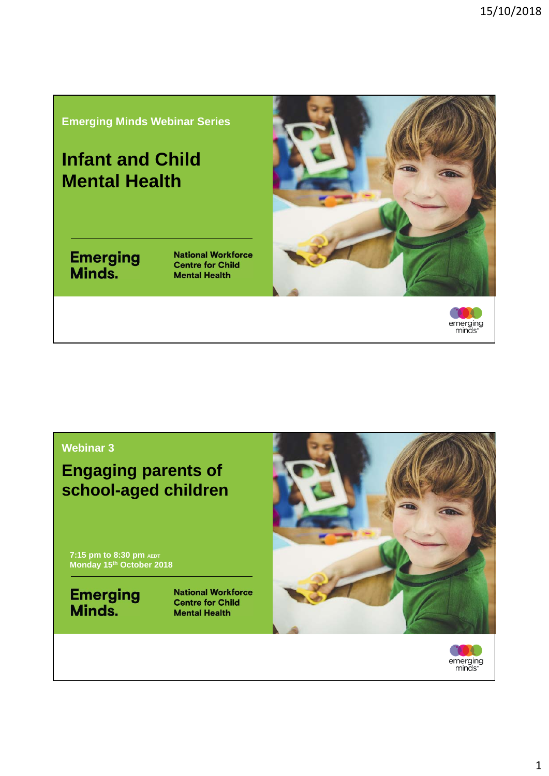#### **Emerging Minds Webinar Series**

### **Infant and Child Mental Health**

# **Emerging**<br>Minds.

**National Workforce Centre for Child Mental Health** 





#### **Webinar 3**

**Engaging parents of school-aged children**

**7:15 pm to 8:30 pm AEDT Monday 15th October 2018**

**Emerging**<br>Minds.

**National Workforce Centre for Child Mental Health** 



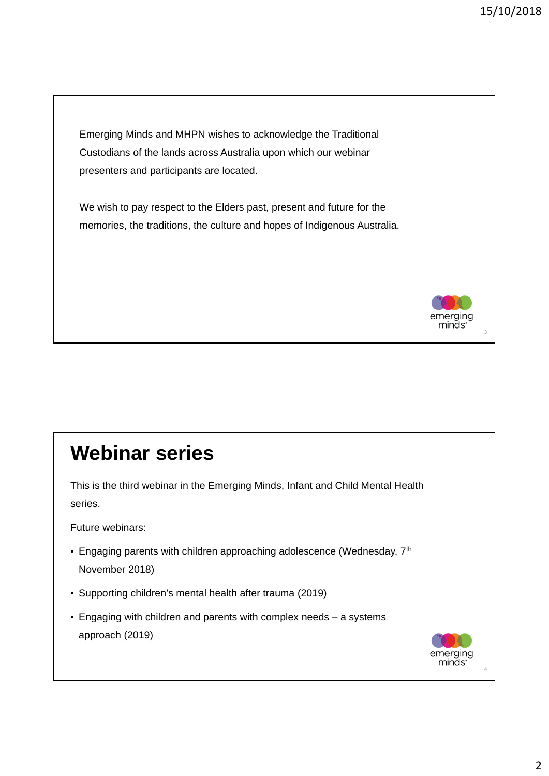Emerging Minds and MHPN wishes to acknowledge the Traditional Custodians of the lands across Australia upon which our webinar presenters and participants are located.

We wish to pay respect to the Elders past, present and future for the memories, the traditions, the culture and hopes of Indigenous Australia.



3

## **Webinar series**

This is the third webinar in the Emerging Minds, Infant and Child Mental Health series.

Future webinars:

- Engaging parents with children approaching adolescence (Wednesday,  $7<sup>th</sup>$ November 2018)
- Supporting children's mental health after trauma (2019)
- Engaging with children and parents with complex needs a systems approach (2019)

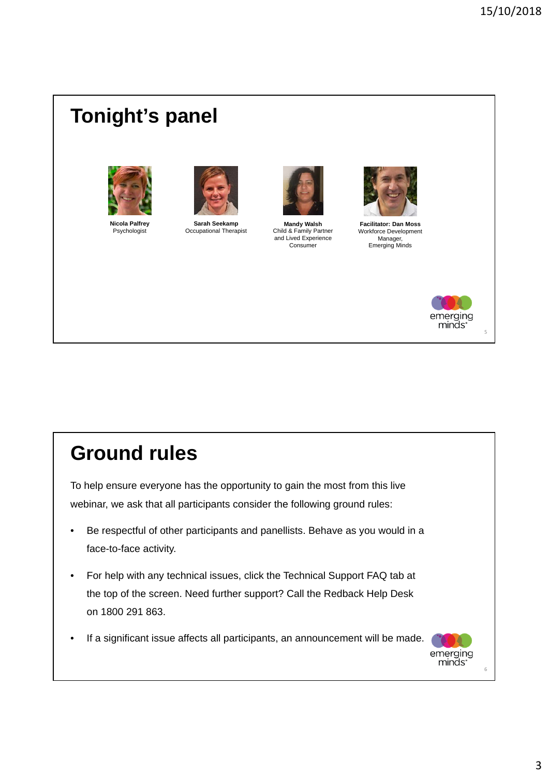## **Tonight's panel**



**Nicola Palfrey** Psychologist



**Sarah Seekamp** Occupational Therapist



**Mandy Walsh** Child & Family Partner and Lived Experience Consumer



**Facilitator: Dan Moss** Workforce Development Manager, Emerging Minds



5

## **Ground rules**

To help ensure everyone has the opportunity to gain the most from this live webinar, we ask that all participants consider the following ground rules:

- Be respectful of other participants and panellists. Behave as you would in a face-to-face activity.
- For help with any technical issues, click the Technical Support FAQ tab at the top of the screen. Need further support? Call the Redback Help Desk on 1800 291 863.
- If a significant issue affects all participants, an announcement will be made.

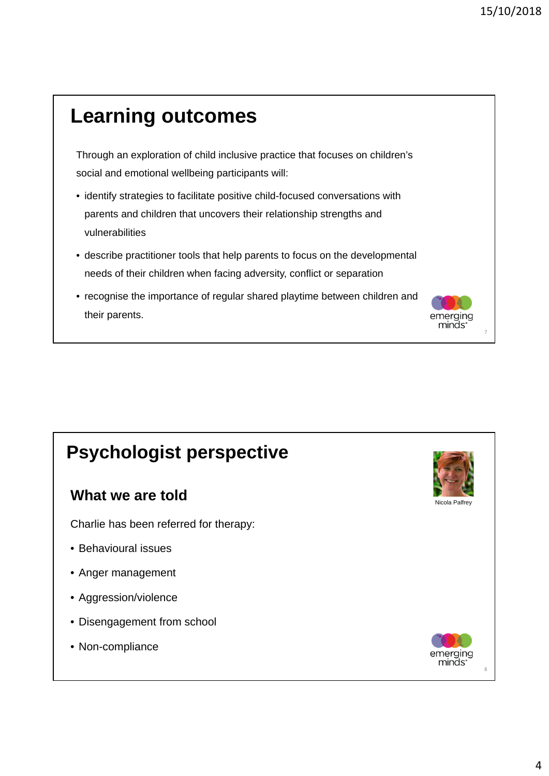7

emerging minds:

## **Learning outcomes**

Through an exploration of child inclusive practice that focuses on children's social and emotional wellbeing participants will:

- identify strategies to facilitate positive child-focused conversations with parents and children that uncovers their relationship strengths and vulnerabilities
- describe practitioner tools that help parents to focus on the developmental needs of their children when facing adversity, conflict or separation
- recognise the importance of regular shared playtime between children and their parents.

### **Psychologist perspective**

#### **What we are told**

Charlie has been referred for therapy:

- Behavioural issues
- Anger management
- Aggression/violence
- Disengagement from school
- Non-compliance

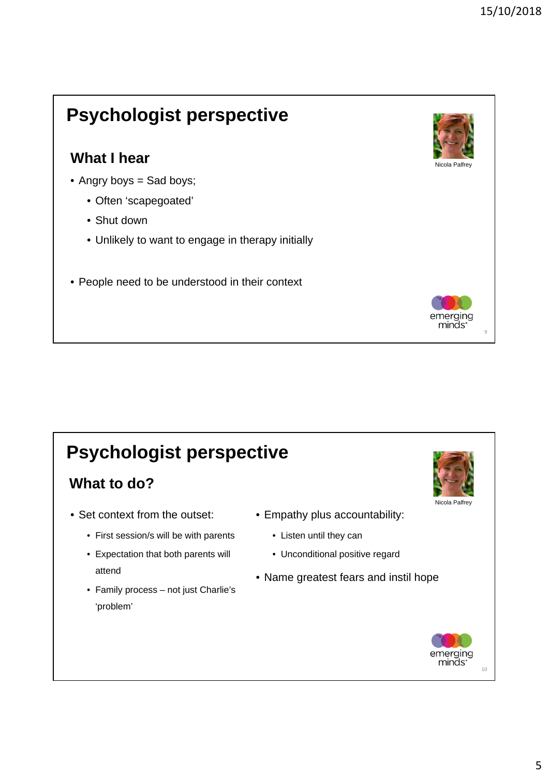## **Psychologist perspective**

### **What I hear**

- Angry boys = Sad boys;
	- Often 'scapegoated'
	- Shut down
	- Unlikely to want to engage in therapy initially
- People need to be understood in their context

## **Psychologist perspective**

### **What to do?**

- Set context from the outset:
	- First session/s will be with parents
	- Expectation that both parents will attend
	- Family process not just Charlie's 'problem'



- Listen until they can
- Unconditional positive regard
- Name greatest fears and instil hope



Nicola Palfrey

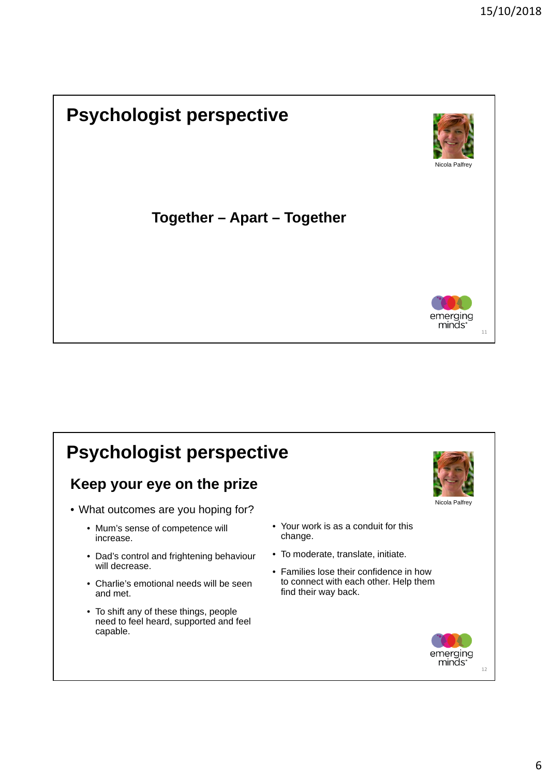## **Psychologist perspective**



### **Together – Apart – Together**



11

12

emerging minds<sup>®</sup>

#### **Psychologist perspective** Nicola Palfrey • What outcomes are you hoping for? • Mum's sense of competence will increase. • Dad's control and frightening behaviour will decrease. • Charlie's emotional needs will be seen and met. • To shift any of these things, people need to feel heard, supported and feel capable. • Your work is as a conduit for this change. • To moderate, translate, initiate. • Families lose their confidence in how to connect with each other. Help them find their way back. **Keep your eye on the prize**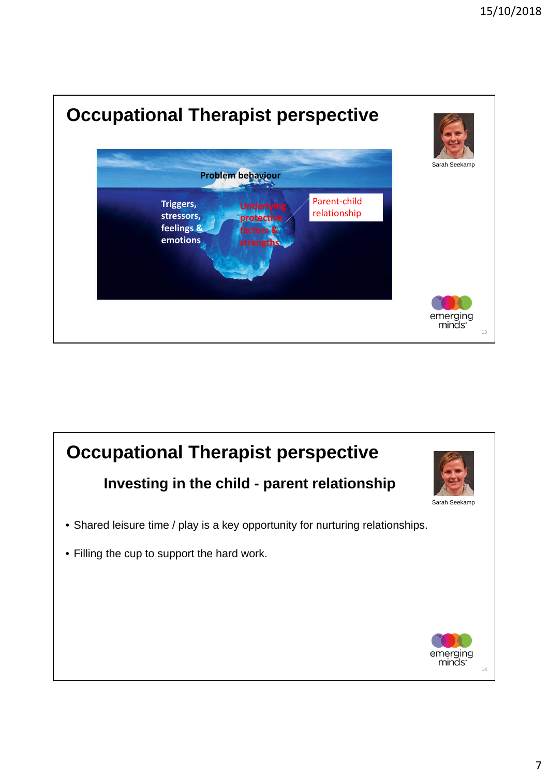

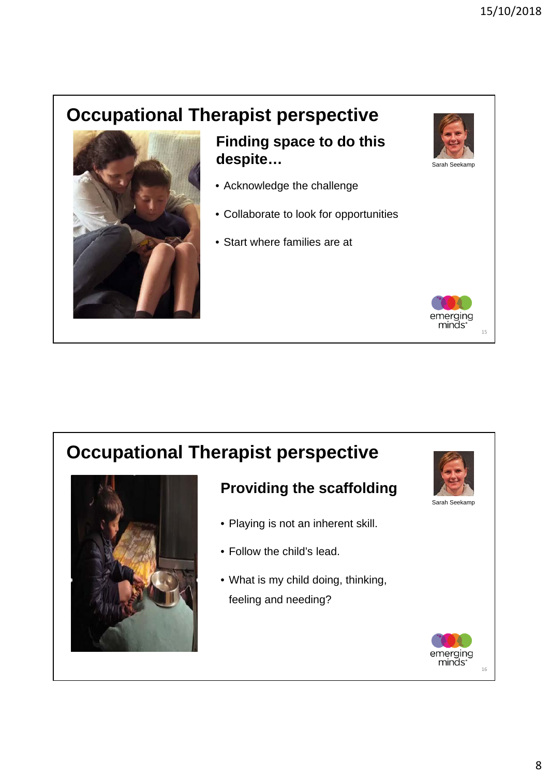## **Occupational Therapist perspective**



### **Finding space to do this despite…**

- Acknowledge the challenge
- Collaborate to look for opportunities
- Start where families are at

### **Occupational Therapist perspective**



### **Providing the scaffolding**

- Playing is not an inherent skill.
- Follow the child's lead.
- What is my child doing, thinking, feeling and needing?



15

nerging minds:

Sarah Seekamp

Sarah Seekamp

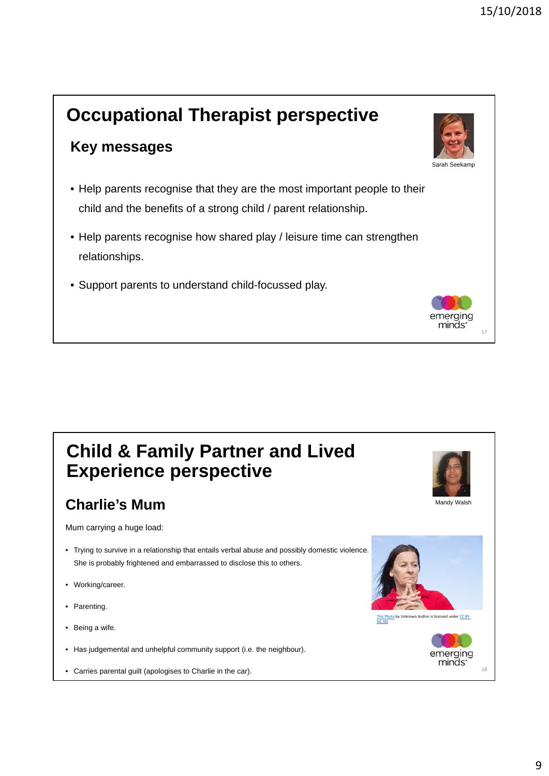### **Occupational Therapist perspective Key messages** Sarah Seekamp • Help parents recognise that they are the most important people to their child and the benefits of a strong child / parent relationship. • Help parents recognise how shared play / leisure time can strengthen relationships. • Support parents to understand child-focussed play. nerging minds: 17

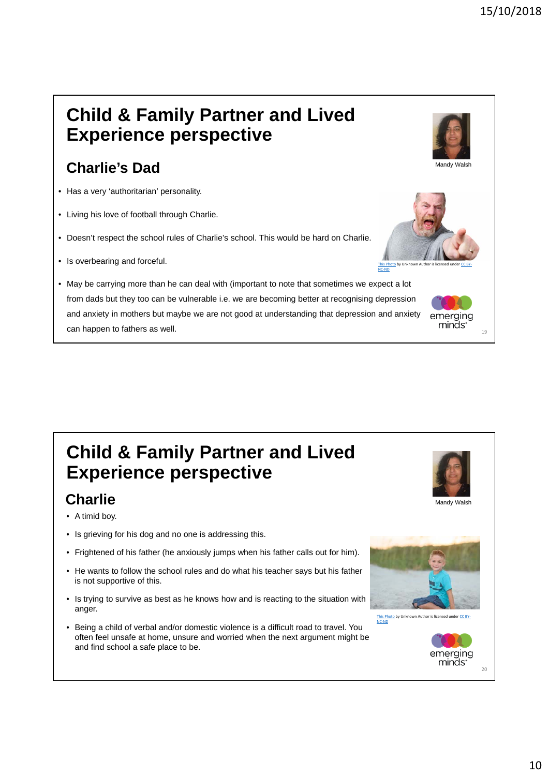## **Child & Family Partner and Lived Experience perspective**

### **Charlie's Dad**

- Has a very 'authoritarian' personality.
- Living his love of football through Charlie.
- Doesn't respect the school rules of Charlie's school. This would be hard on Charlie.
- Is overbearing and forceful.
- May be carrying more than he can deal with (important to note that sometimes we expect a lot from dads but they too can be vulnerable i.e. we are becoming better at recognising depression and anxiety in mothers but maybe we are not good at understanding that depression and anxiety can happen to fathers as well.



### **Charlie**

- A timid boy.
- Is grieving for his dog and no one is addressing this.
- Frightened of his father (he anxiously jumps when his father calls out for him).
- He wants to follow the school rules and do what his teacher says but his father is not supportive of this.
- Is trying to survive as best as he knows how and is reacting to the situation with anger.
- Being a child of verbal and/or domestic violence is a difficult road to travel. You often feel unsafe at home, unsure and worried when the next argument might be and find school a safe place to be.





Mandy Walsh



1<sub>c</sub>

 $20$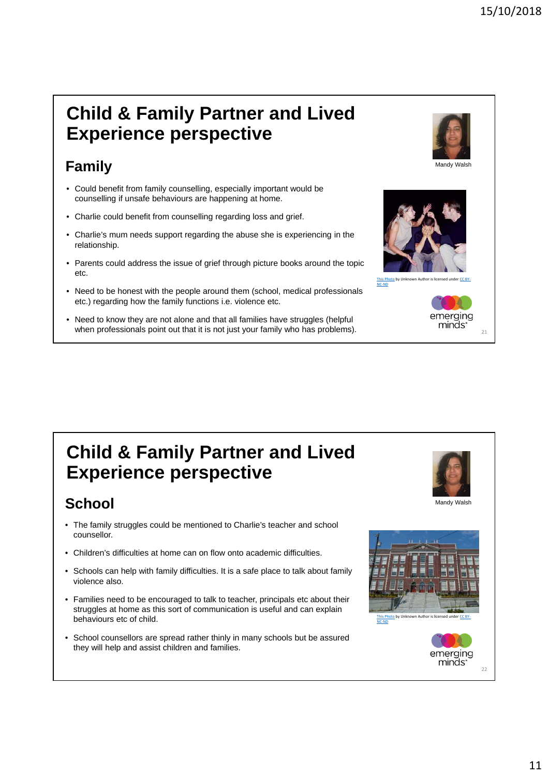### **Child & Family Partner and Lived Experience perspective**

### **Family**

- Could benefit from family counselling, especially important would be counselling if unsafe behaviours are happening at home.
- Charlie could benefit from counselling regarding loss and grief.
- Charlie's mum needs support regarding the abuse she is experiencing in the relationship.
- Parents could address the issue of grief through picture books around the topic etc.
- Need to be honest with the people around them (school, medical professionals etc.) regarding how the family functions i.e. violence etc.
- Need to know they are not alone and that all families have struggles (helpful when professionals point out that it is not just your family who has problems).



### **School**

- The family struggles could be mentioned to Charlie's teacher and school counsellor.
- Children's difficulties at home can on flow onto academic difficulties.
- Schools can help with family difficulties. It is a safe place to talk about family violence also.
- Families need to be encouraged to talk to teacher, principals etc about their struggles at home as this sort of communication is useful and can explain behaviours etc of child.
- School counsellors are spread rather thinly in many schools but be assured they will help and assist children and families.



Mandy Walsh

emerging minds:

This Photo by Unknown Author is licensed under CC BY-

NC‐ND

 $21$ 



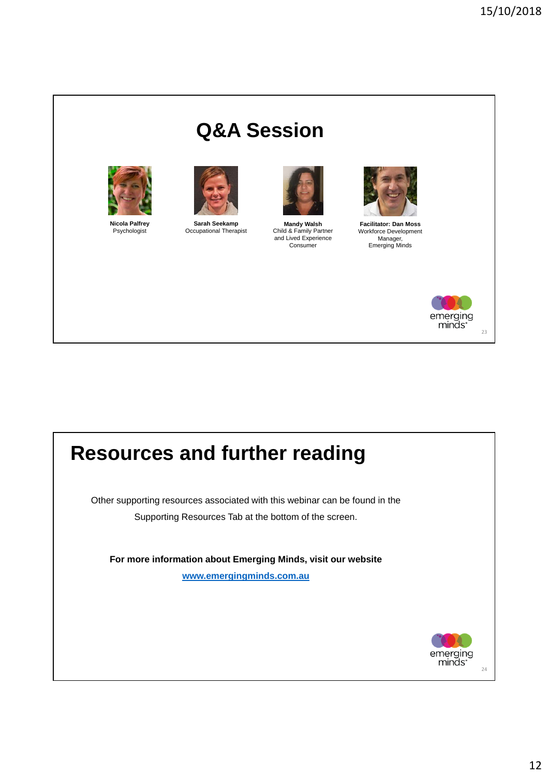## **Q&A Session**



**Nicola Palfrey** Psychologist



**Sarah Seekamp** Occupational Therapist



**Mandy Walsh** Child & Family Partner and Lived Experience Consumer



**Facilitator: Dan Moss** Workforce Development Manager, Emerging Minds



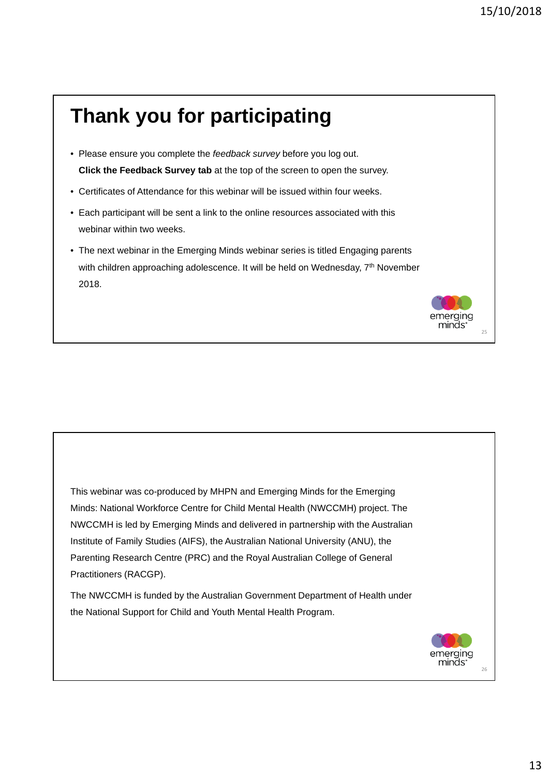### **Thank you for participating** • Please ensure you complete the *feedback survey* before you log out. **Click the Feedback Survey tab** at the top of the screen to open the survey. • Certificates of Attendance for this webinar will be issued within four weeks. • Each participant will be sent a link to the online resources associated with this webinar within two weeks. • The next webinar in the Emerging Minds webinar series is titled Engaging parents with children approaching adolescence. It will be held on Wednesday, 7<sup>th</sup> November 2018. erging ninds'  $25$

This webinar was co-produced by MHPN and Emerging Minds for the Emerging Minds: National Workforce Centre for Child Mental Health (NWCCMH) project. The NWCCMH is led by Emerging Minds and delivered in partnership with the Australian Institute of Family Studies (AIFS), the Australian National University (ANU), the Parenting Research Centre (PRC) and the Royal Australian College of General Practitioners (RACGP). The NWCCMH is funded by the Australian Government Department of Health under the National Support for Child and Youth Mental Health Program. emerging minds' 26